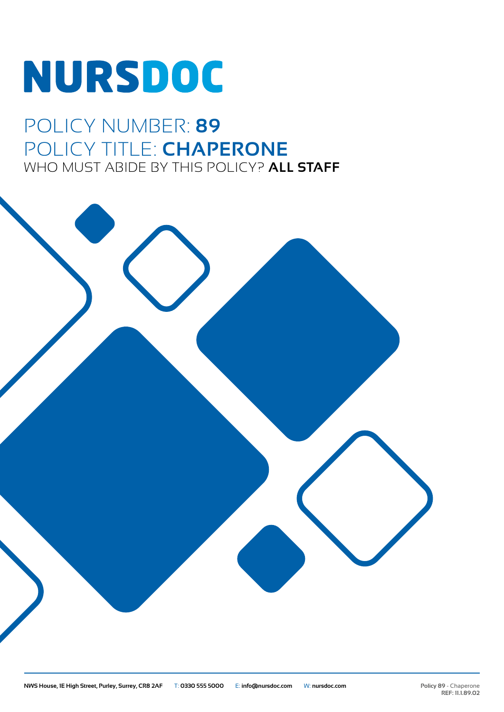# **NURSDOC**

## POLICY NUMBER: **89** POLICY TITLE: **CHAPERONE** WHO MUST ABIDE BY THIS POLICY? **ALL STAFF**

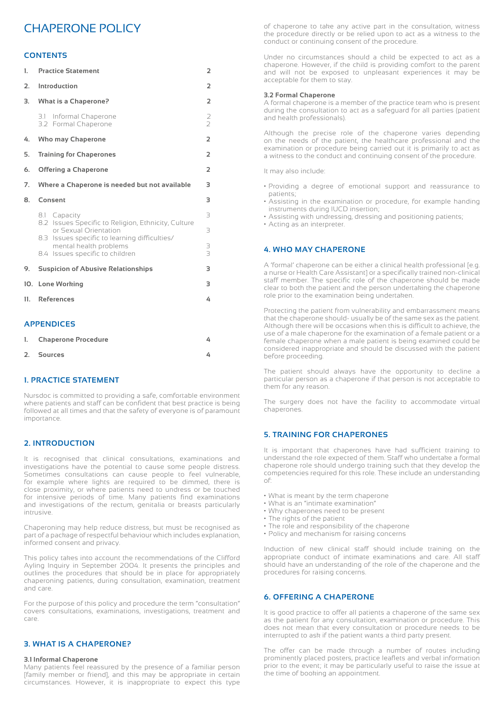### CHAPERONE POLICY

#### **CONTENTS**

| 1.  | <b>Practice Statement</b>                                                                                  | $\overline{2}$ |
|-----|------------------------------------------------------------------------------------------------------------|----------------|
| 2.  | Introduction                                                                                               | $\overline{2}$ |
| 3.  | <b>What is a Chaperone?</b>                                                                                | 2              |
|     | 3.1 Informal Chaperone<br>3.2 Formal Chaperone                                                             | $\frac{2}{2}$  |
| 4.  | <b>Who may Chaperone</b>                                                                                   | $\overline{2}$ |
| 5.  | <b>Training for Chaperones</b>                                                                             | $\overline{2}$ |
| 6.  | <b>Offering a Chaperone</b>                                                                                | $\overline{2}$ |
| 7.  | Where a Chaperone is needed but not available                                                              | 3              |
| 8.  | Consent                                                                                                    | 3              |
|     | 8.1 Capacity<br>8.2 Issues Specific to Religion, Ethnicity, Culture<br>or Sexual Orientation               | 3<br>3         |
|     | 8.3 Issues specific to learning difficulties/<br>mental health problems<br>8.4 Issues specific to children | 3<br>3         |
| 9.  | <b>Suspicion of Abusive Relationships</b>                                                                  | 3              |
| 10. | <b>Lone Working</b>                                                                                        | 3              |
| 11. | <b>References</b>                                                                                          | 4              |
|     | <b>APPENDICES</b>                                                                                          |                |
| 1.  | <b>Chaperone Procedure</b>                                                                                 | 4              |

#### **1. PRACTICE STATEMENT**

Nursdoc is committed to providing a safe, comfortable environment where patients and staff can be confident that best practice is being followed at all times and that the safety of everyone is of paramount importance.

**2. Sources 4**

#### **2. INTRODUCTION**

It is recognised that clinical consultations, examinations and investigations have the potential to cause some people distress. Sometimes consultations can cause people to feel vulnerable, for example where lights are required to be dimmed, there is close proximity, or where patients need to undress or be touched for intensive periods of time. Many patients find examinations and investigations of the rectum, genitalia or breasts particularly intrusive.

Chaperoning may help reduce distress, but must be recognised as part of a package of respectful behaviour which includes explanation, informed consent and privacy.

This policy takes into account the recommendations of the Clifford Ayling Inquiry in September 2004. It presents the principles and outlines the procedures that should be in place for appropriately chaperoning patients, during consultation, examination, treatment and care.

For the purpose of this policy and procedure the term "consultation" covers consultations, examinations, investigations, treatment and care.

#### **3. WHAT IS A CHAPERONE?**

#### **3.1 Informal Chaperone**

Many patients feel reassured by the presence of a familiar person [family member or friend], and this may be appropriate in certain circumstances. However, it is inappropriate to expect this type of chaperone to take any active part in the consultation, witness the procedure directly or be relied upon to act as a witness to the conduct or continuing consent of the procedure.

Under no circumstances should a child be expected to act as a chaperone. However, if the child is providing comfort to the parent and will not be exposed to unpleasant experiences it may be acceptable for them to stay.

#### **3.2 Formal Chaperone**

A formal chaperone is a member of the practice team who is present during the consultation to act as a safeguard for all parties (patient and health professionals).

Although the precise role of the chaperone varies depending on the needs of the patient, the healthcare professional and the examination or procedure being carried out it is primarily to act as a witness to the conduct and continuing consent of the procedure.

It may also include:

- Providing a degree of emotional support and reassurance to patients;
- Assisting in the examination or procedure, for example handing instruments during IUCD insertion;
- Assisting with undressing, dressing and positioning patients;
- Acting as an interpreter.

#### **4. WHO MAY CHAPERONE**

A 'formal' chaperone can be either a clinical health professional [e.g. a nurse or Health Care Assistant] or a specifically trained non-clinical staff member. The specific role of the chaperone should be made clear to both the patient and the person undertaking the chaperone role prior to the examination being undertaken.

Protecting the patient from vulnerability and embarrassment means that the chaperone should- usually be of the same sex as the patient. Although there will be occasions when this is difficult to achieve, the use of a male chaperone for the examination of a female patient or a female chaperone when a male patient is being examined could be considered inappropriate and should be discussed with the patient before proceeding.

The patient should always have the opportunity to decline a particular person as a chaperone if that person is not acceptable to them for any reason.

The surgery does not have the facility to accommodate virtual chaperones.

#### **5. TRAINING FOR CHAPERONES**

It is important that chaperones have had sufficient training to understand the role expected of them. Staff who undertake a formal chaperone role should undergo training such that they develop the competencies required for this role. These include an understanding of:

- What is meant by the term chaperone
- What is an "intimate examination"
- Why chaperones need to be present
- The rights of the patient
- The role and responsibility of the chaperone
- Policy and mechanism for raising concerns

Induction of new clinical staff should include training on the appropriate conduct of intimate examinations and care. All staff should have an understanding of the role of the chaperone and the procedures for raising concerns.

#### **6. OFFERING A CHAPERONE**

It is good practice to offer all patients a chaperone of the same sex as the patient for any consultation, examination or procedure. This does not mean that every consultation or procedure needs to be interrupted to ask if the patient wants a third party present.

The offer can be made through a number of routes including prominently placed posters, practice leaflets and verbal information prior to the event; it may be particularly useful to raise the issue at the time of booking an appointment.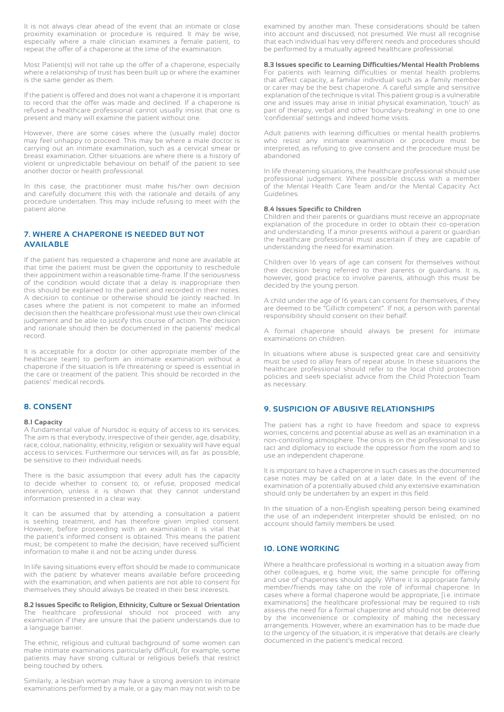It is not always clear ahead of the event that an intimate or close proximity examination or procedure is required. It may be wise, especially where a male clinician examines a female patient, to repeat the offer of a chaperone at the time of the examination.

Most Patient(s) will not take up the offer of a chaperone, especially where a relationship of trust has been built up or where the examiner is the same gender as them.

If the patient is offered and does not want a chaperone it is important to record that the offer was made and declined. If a chaperone is refused a healthcare professional cannot usually insist that one is present and many will examine the patient without one.

However, there are some cases where the (usually male) doctor may feel unhappy to proceed. This may be where a male doctor is carrying out an intimate examination, such as a cervical smear or breast examination. Other situations are where there is a history of violent or unpredictable behaviour on behalf of the patient to see another doctor or health professional.

In this case, the practitioner must make his/her own decision and carefully document this with the rationale and details of any procedure undertaken. This may include refusing to meet with the patient alone.

#### **7. WHERE A CHAPERONE IS NEEDED BUT NOT AVAILABLE**

If the patient has requested a chaperone and none are available at that time the patient must be given the opportunity to reschedule their appointment within a reasonable time-frame. If the seriousness of the condition would dictate that a delay is inappropriate then this should be explained to the patient and recorded in their notes. A decision to continue or otherwise should be jointly reached. In cases where the patient is not competent to make an informed decision then the healthcare professional must use their own clinical judgement and be able to justify this course of action. The decision and rationale should then be documented in the patients' medical record.

It is acceptable for a doctor (or other appropriate member of the healthcare team) to perform an intimate examination without a chaperone if the situation is life threatening or speed is essential in the care or treatment of the patient. This should be recorded in the patients' medical records.

#### **8. CONSENT**

#### **8.1 Capacity**

A fundamental value of Nursdoc is equity of access to its services. The aim is that everybody, irrespective of their gender, age, disability, race, colour, nationality, ethnicity, religion or sexuality will have equal access to services. Furthermore our services will, as far as possible, be sensitive to their individual needs.

There is the basic assumption that every adult has the capacity to decide whether to consent to, or refuse, proposed medical intervention, unless it is shown that they cannot understand information presented in a clear way.

It can be assumed that by attending a consultation a patient is seeking treatment, and has therefore given implied consent. However, before proceeding with an examination it is vital that the patient's informed consent is obtained. This means the patient must; be competent to make the decision; have received sufficient information to make it and not be acting under duress.

In life saving situations every effort should be made to communicate with the patient by whatever means available before proceeding with the examination, and when patients are not able to consent for themselves they should always be treated in their best interests.

#### **8.2 Issues Specific to Religion, Ethnicity, Culture or Sexual Orientation**

The healthcare professional should not proceed with any examination if they are unsure that the patient understands due to a language barrier.

The ethnic, religious and cultural background of some women can make intimate examinations particularly difficult, for example, some patients may have strong cultural or religious beliefs that restrict being touched by others.

Similarly, a lesbian woman may have a strong aversion to intimate examinations performed by a male, or a gay man may not wish to be examined by another man. These considerations should be taken into account and discussed, not presumed. We must all recognise that each individual has very different needs and procedures should be performed by a mutually agreed healthcare professional.

#### **8.3 Issues specific to Learning Difficulties/Mental Health Problems**

For patients with learning difficulties or mental health problems that affect capacity, a familiar individual such as a family member or carer may be the best chaperone. A careful simple and sensitive explanation of the technique is vital. This patient group is a vulnerable one and issues may arise in initial physical examination, 'touch' as part of therapy, verbal and other 'boundary-breaking' in one to one 'confidential' settings and indeed home visits.

Adult patients with learning difficulties or mental health problems who resist any intimate examination or procedure must be interpreted, as refusing to give consent and the procedure must be abandoned.

In life threatening situations, the healthcare professional should use professional judgement. Where possible discuss with a member of the Mental Health Care Team and/or the Mental Capacity Act Guidelines.

#### **8.4 Issues Specific to Children**

Children and their parents or guardians must receive an appropriate explanation of the procedure in order to obtain their co-operation and understanding. If a minor presents without a parent or guardian the healthcare professional must ascertain if they are capable of understanding the need for examination.

Children over 16 years of age can consent for themselves without their decision being referred to their parents or guardians. It is, however, good practice to involve parents, although this must be decided by the young person.

A child under the age of 16 years can consent for themselves, if they are deemed to be "Gillick competent". If not, a person with parental responsibility should consent on their behalf.

A formal chaperone should always be present for intimate examinations on children.

In situations where abuse is suspected great care and sensitivity must be used to allay fears of repeat abuse. In these situations the healthcare professional should refer to the local child protection policies and seek specialist advice from the Child Protection Team as necessary.

#### **9. SUSPICION OF ABUSIVE RELATIONSHIPS**

The patient has a right to have freedom and space to express worries, concerns and potential abuse as well as an examination in a non-controlling atmosphere. The onus is on the professional to use tact and diplomacy to exclude the oppressor from the room and to use an independent chaperone.

It is important to have a chaperone in such cases as the documented case notes may be called on at a later date. In the event of the examination of a potentially abused child any extensive examination should only be undertaken by an expert in this field.

In the situation of a non-English speaking person being examined the use of an independent interpreter should be enlisted; on no account should family members be used.

#### **10. LONE WORKING**

Where a healthcare professional is working in a situation away from other colleagues, e.g. home visit, the same principle for offering and use of chaperones should apply. Where it is appropriate family member/friends may take on the role of informal chaperone. In cases where a formal chaperone would be appropriate, [i.e. intimate examinations] the healthcare professional may be required to risk assess the need for a formal chaperone and should not be deterred by the inconvenience or complexity of making the necessary arrangements. However, where an examination has to be made due to the urgency of the situation, it is imperative that details are clearly documented in the patient's medical record.